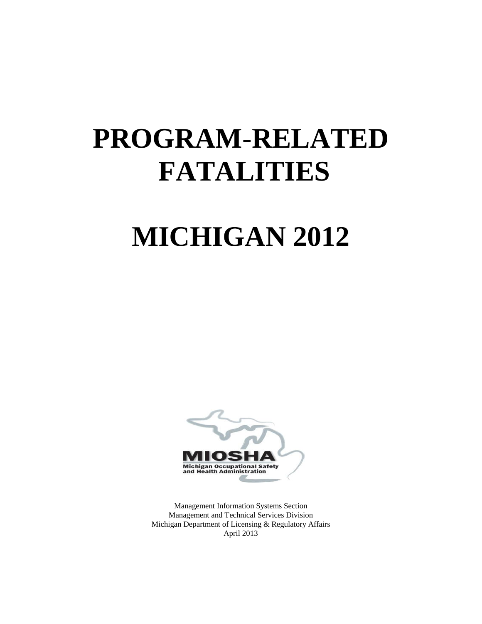# **PROGRAM-RELATED FATALITIES**

# **MICHIGAN 2012**



Management Information Systems Section Management and Technical Services Division Michigan Department of Licensing & Regulatory Affairs April 2013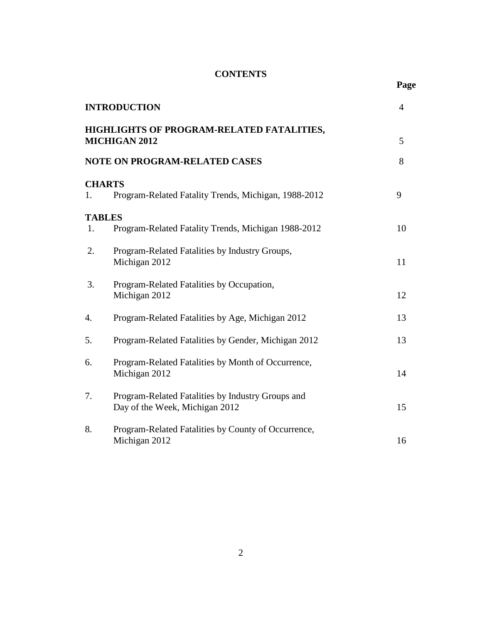# **CONTENTS**

| ı |
|---|
|   |

|                     | <b>INTRODUCTION</b>                                                                 | $\overline{4}$ |
|---------------------|-------------------------------------------------------------------------------------|----------------|
|                     | HIGHLIGHTS OF PROGRAM-RELATED FATALITIES,<br><b>MICHIGAN 2012</b>                   | 5              |
|                     | <b>NOTE ON PROGRAM-RELATED CASES</b>                                                | 8              |
| <b>CHARTS</b><br>1. | Program-Related Fatality Trends, Michigan, 1988-2012                                | 9              |
| <b>TABLES</b>       |                                                                                     |                |
| 1.                  | Program-Related Fatality Trends, Michigan 1988-2012                                 | 10             |
| 2.                  | Program-Related Fatalities by Industry Groups,<br>Michigan 2012                     | 11             |
| 3.                  | Program-Related Fatalities by Occupation,<br>Michigan 2012                          | 12             |
| 4.                  | Program-Related Fatalities by Age, Michigan 2012                                    | 13             |
| 5.                  | Program-Related Fatalities by Gender, Michigan 2012                                 | 13             |
| 6.                  | Program-Related Fatalities by Month of Occurrence,<br>Michigan 2012                 | 14             |
| 7.                  | Program-Related Fatalities by Industry Groups and<br>Day of the Week, Michigan 2012 | 15             |
| 8.                  | Program-Related Fatalities by County of Occurrence,<br>Michigan 2012                | 16             |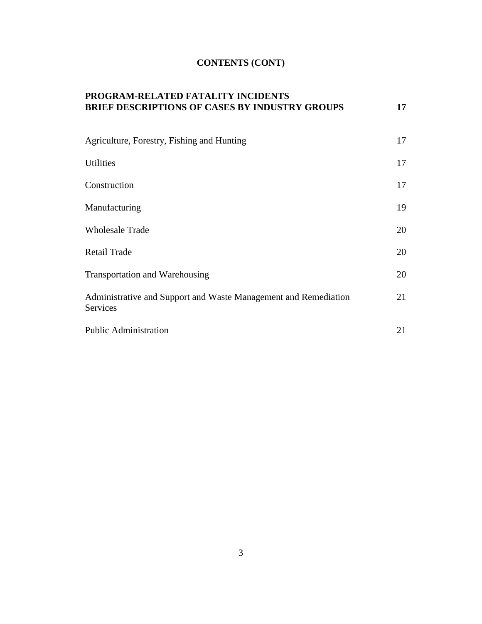# **CONTENTS (CONT)**

| PROGRAM-RELATED FATALITY INCIDENTS<br><b>BRIEF DESCRIPTIONS OF CASES BY INDUSTRY GROUPS</b> | 17 |
|---------------------------------------------------------------------------------------------|----|
| Agriculture, Forestry, Fishing and Hunting                                                  | 17 |
| <b>Utilities</b>                                                                            | 17 |
| Construction                                                                                | 17 |
| Manufacturing                                                                               | 19 |
| <b>Wholesale Trade</b>                                                                      | 20 |
| <b>Retail Trade</b>                                                                         | 20 |
| <b>Transportation and Warehousing</b>                                                       | 20 |
| Administrative and Support and Waste Management and Remediation<br>Services                 | 21 |
| <b>Public Administration</b>                                                                | 21 |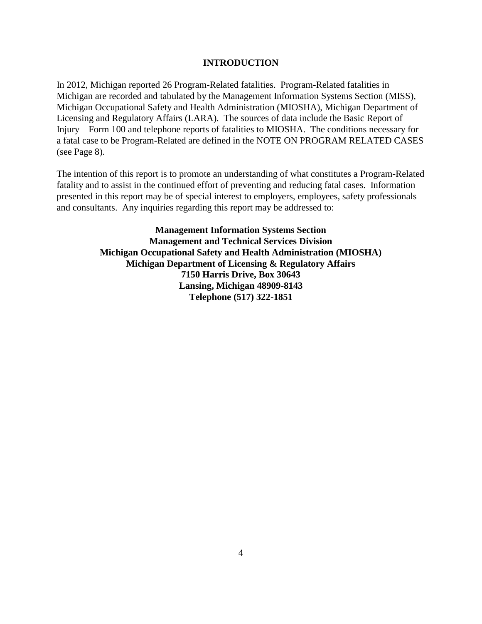### **INTRODUCTION**

In 2012, Michigan reported 26 Program-Related fatalities. Program-Related fatalities in Michigan are recorded and tabulated by the Management Information Systems Section (MISS), Michigan Occupational Safety and Health Administration (MIOSHA), Michigan Department of Licensing and Regulatory Affairs (LARA). The sources of data include the Basic Report of Injury – Form 100 and telephone reports of fatalities to MIOSHA. The conditions necessary for a fatal case to be Program-Related are defined in the NOTE ON PROGRAM RELATED CASES (see Page 8).

The intention of this report is to promote an understanding of what constitutes a Program-Related fatality and to assist in the continued effort of preventing and reducing fatal cases. Information presented in this report may be of special interest to employers, employees, safety professionals and consultants. Any inquiries regarding this report may be addressed to:

> **Management Information Systems Section Management and Technical Services Division Michigan Occupational Safety and Health Administration (MIOSHA) Michigan Department of Licensing & Regulatory Affairs 7150 Harris Drive, Box 30643 Lansing, Michigan 48909-8143 Telephone (517) 322-1851**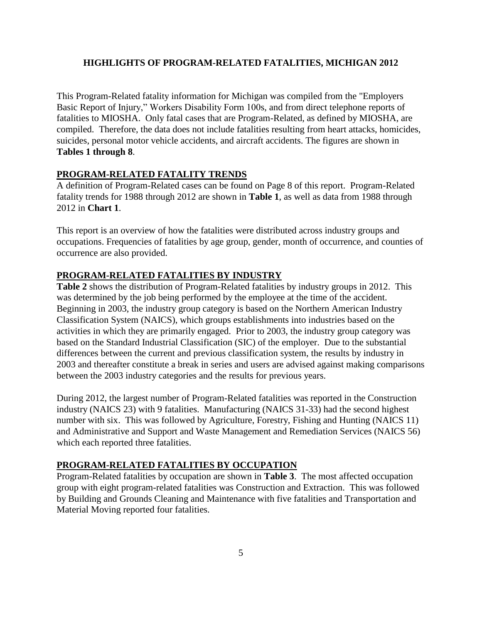### **HIGHLIGHTS OF PROGRAM-RELATED FATALITIES, MICHIGAN 2012**

This Program-Related fatality information for Michigan was compiled from the "Employers Basic Report of Injury," Workers Disability Form 100s, and from direct telephone reports of fatalities to MIOSHA. Only fatal cases that are Program-Related, as defined by MIOSHA, are compiled. Therefore, the data does not include fatalities resulting from heart attacks, homicides, suicides, personal motor vehicle accidents, and aircraft accidents. The figures are shown in **Tables 1 through 8**.

#### **PROGRAM-RELATED FATALITY TRENDS**

A definition of Program-Related cases can be found on Page 8 of this report. Program-Related fatality trends for 1988 through 2012 are shown in **Table 1**, as well as data from 1988 through 2012 in **Chart 1**.

This report is an overview of how the fatalities were distributed across industry groups and occupations. Frequencies of fatalities by age group, gender, month of occurrence, and counties of occurrence are also provided.

#### **PROGRAM-RELATED FATALITIES BY INDUSTRY**

**Table 2** shows the distribution of Program-Related fatalities by industry groups in 2012. This was determined by the job being performed by the employee at the time of the accident. Beginning in 2003, the industry group category is based on the Northern American Industry Classification System (NAICS), which groups establishments into industries based on the activities in which they are primarily engaged. Prior to 2003, the industry group category was based on the Standard Industrial Classification (SIC) of the employer. Due to the substantial differences between the current and previous classification system, the results by industry in 2003 and thereafter constitute a break in series and users are advised against making comparisons between the 2003 industry categories and the results for previous years.

During 2012, the largest number of Program-Related fatalities was reported in the Construction industry (NAICS 23) with 9 fatalities. Manufacturing (NAICS 31-33) had the second highest number with six. This was followed by Agriculture, Forestry, Fishing and Hunting (NAICS 11) and Administrative and Support and Waste Management and Remediation Services (NAICS 56) which each reported three fatalities.

#### **PROGRAM-RELATED FATALITIES BY OCCUPATION**

Program-Related fatalities by occupation are shown in **Table 3**. The most affected occupation group with eight program-related fatalities was Construction and Extraction. This was followed by Building and Grounds Cleaning and Maintenance with five fatalities and Transportation and Material Moving reported four fatalities.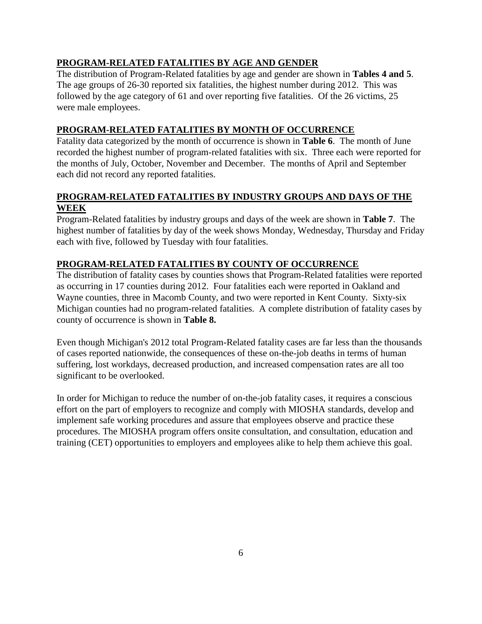# **PROGRAM-RELATED FATALITIES BY AGE AND GENDER**

The distribution of Program-Related fatalities by age and gender are shown in **Tables 4 and 5**. The age groups of 26-30 reported six fatalities, the highest number during 2012. This was followed by the age category of 61 and over reporting five fatalities. Of the 26 victims, 25 were male employees.

# **PROGRAM-RELATED FATALITIES BY MONTH OF OCCURRENCE**

Fatality data categorized by the month of occurrence is shown in **Table 6**.The month of June recorded the highest number of program-related fatalities with six. Three each were reported for the months of July, October, November and December. The months of April and September each did not record any reported fatalities.

# **PROGRAM-RELATED FATALITIES BY INDUSTRY GROUPS AND DAYS OF THE WEEK**

Program-Related fatalities by industry groups and days of the week are shown in **Table 7**. The highest number of fatalities by day of the week shows Monday, Wednesday, Thursday and Friday each with five, followed by Tuesday with four fatalities.

# **PROGRAM-RELATED FATALITIES BY COUNTY OF OCCURRENCE**

The distribution of fatality cases by counties shows that Program-Related fatalities were reported as occurring in 17 counties during 2012. Four fatalities each were reported in Oakland and Wayne counties, three in Macomb County, and two were reported in Kent County. Sixty-six Michigan counties had no program-related fatalities. A complete distribution of fatality cases by county of occurrence is shown in **Table 8.**

Even though Michigan's 2012 total Program-Related fatality cases are far less than the thousands of cases reported nationwide, the consequences of these on-the-job deaths in terms of human suffering, lost workdays, decreased production, and increased compensation rates are all too significant to be overlooked.

In order for Michigan to reduce the number of on-the-job fatality cases, it requires a conscious effort on the part of employers to recognize and comply with MIOSHA standards, develop and implement safe working procedures and assure that employees observe and practice these procedures. The MIOSHA program offers onsite consultation, and consultation, education and training (CET) opportunities to employers and employees alike to help them achieve this goal.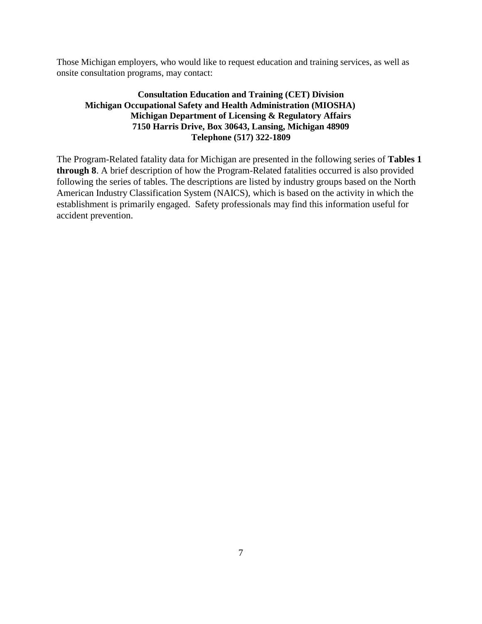Those Michigan employers, who would like to request education and training services, as well as onsite consultation programs, may contact:

# **Consultation Education and Training (CET) Division Michigan Occupational Safety and Health Administration (MIOSHA) Michigan Department of Licensing & Regulatory Affairs 7150 Harris Drive, Box 30643, Lansing, Michigan 48909 Telephone (517) 322-1809**

The Program-Related fatality data for Michigan are presented in the following series of **Tables 1 through 8**. A brief description of how the Program-Related fatalities occurred is also provided following the series of tables. The descriptions are listed by industry groups based on the North American Industry Classification System (NAICS), which is based on the activity in which the establishment is primarily engaged. Safety professionals may find this information useful for accident prevention.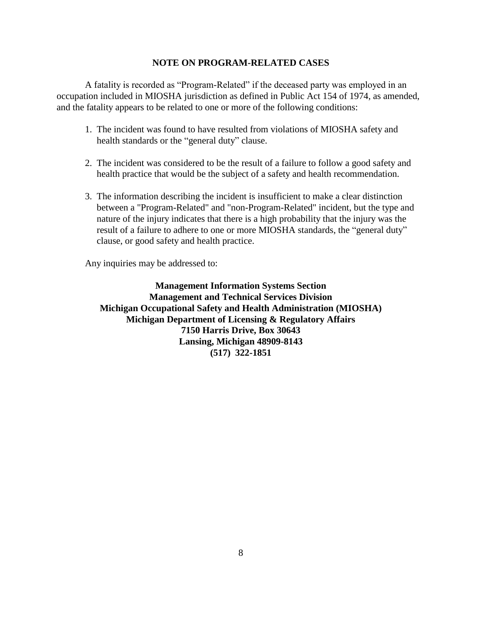#### **NOTE ON PROGRAM-RELATED CASES**

A fatality is recorded as "Program-Related" if the deceased party was employed in an occupation included in MIOSHA jurisdiction as defined in Public Act 154 of 1974, as amended, and the fatality appears to be related to one or more of the following conditions:

- 1. The incident was found to have resulted from violations of MIOSHA safety and health standards or the "general duty" clause.
- 2. The incident was considered to be the result of a failure to follow a good safety and health practice that would be the subject of a safety and health recommendation.
- 3. The information describing the incident is insufficient to make a clear distinction between a "Program-Related" and "non-Program-Related" incident, but the type and nature of the injury indicates that there is a high probability that the injury was the result of a failure to adhere to one or more MIOSHA standards, the "general duty" clause, or good safety and health practice.

Any inquiries may be addressed to:

**Management Information Systems Section Management and Technical Services Division Michigan Occupational Safety and Health Administration (MIOSHA) Michigan Department of Licensing & Regulatory Affairs 7150 Harris Drive, Box 30643 Lansing, Michigan 48909-8143 (517) 322-1851**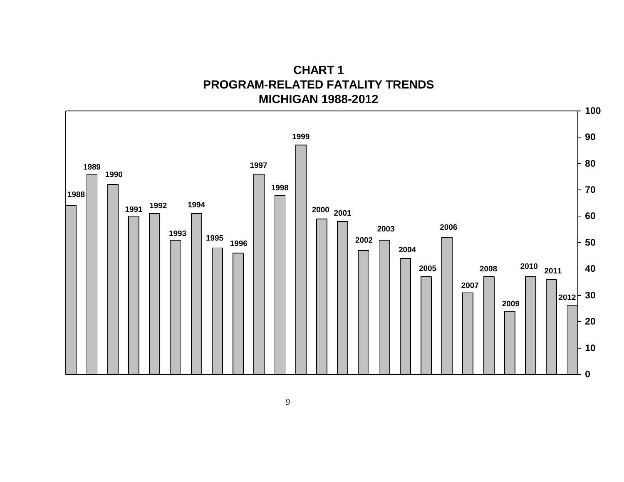**CHART 1 PROGRAM-RELATED FATALITY TRENDS MICHIGAN 1988-2012**

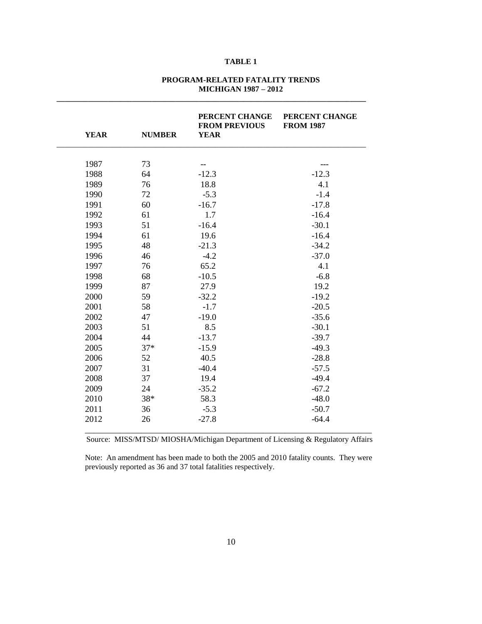#### **PROGRAM-RELATED FATALITY TRENDS MICHIGAN 1987 – 2012**

**\_\_\_\_\_\_\_\_\_\_\_\_\_\_\_\_\_\_\_\_\_\_\_\_\_\_\_\_\_\_\_\_\_\_\_\_\_\_\_\_\_\_\_\_\_\_\_\_\_\_\_\_\_\_\_\_\_\_\_\_\_\_\_\_\_\_\_\_\_\_\_\_\_\_\_\_\_\_**

| <b>YEAR</b> | <b>NUMBER</b> | PERCENT CHANGE<br><b>FROM PREVIOUS</b><br><b>YEAR</b> | PERCENT CHANGE<br><b>FROM 1987</b> |
|-------------|---------------|-------------------------------------------------------|------------------------------------|
|             |               |                                                       |                                    |
| 1987        | 73            | --                                                    |                                    |
| 1988        | 64            | $-12.3$                                               | $-12.3$                            |
| 1989        | 76            | 18.8                                                  | 4.1                                |
| 1990        | 72            | $-5.3$                                                | $-1.4$                             |
| 1991        | 60            | $-16.7$                                               | $-17.8$                            |
| 1992        | 61            | 1.7                                                   | $-16.4$                            |
| 1993        | 51            | $-16.4$                                               | $-30.1$                            |
| 1994        | 61            | 19.6                                                  | $-16.4$                            |
| 1995        | 48            | $-21.3$                                               | $-34.2$                            |
| 1996        | 46            | $-4.2$                                                | $-37.0$                            |
| 1997        | 76            | 65.2                                                  | 4.1                                |
| 1998        | 68            | $-10.5$                                               | $-6.8$                             |
| 1999        | 87            | 27.9                                                  | 19.2                               |
| 2000        | 59            | $-32.2$                                               | $-19.2$                            |
| 2001        | 58            | $-1.7$                                                | $-20.5$                            |
| 2002        | 47            | $-19.0$                                               | $-35.6$                            |
| 2003        | 51            | 8.5                                                   | $-30.1$                            |
| 2004        | 44            | $-13.7$                                               | $-39.7$                            |
| 2005        | $37*$         | $-15.9$                                               | $-49.3$                            |
| 2006        | 52            | 40.5                                                  | $-28.8$                            |
| 2007        | 31            | $-40.4$                                               | $-57.5$                            |
| 2008        | 37            | 19.4                                                  | $-49.4$                            |
| 2009        | 24            | $-35.2$                                               | $-67.2$                            |
| 2010        | 38*           | 58.3                                                  | $-48.0$                            |
| 2011        | 36            | $-5.3$                                                | $-50.7$                            |
| 2012        | 26            | $-27.8$                                               | $-64.4$                            |

Source: MISS/MTSD/ MIOSHA/Michigan Department of Licensing & Regulatory Affairs

Note: An amendment has been made to both the 2005 and 2010 fatality counts. They were previously reported as 36 and 37 total fatalities respectively.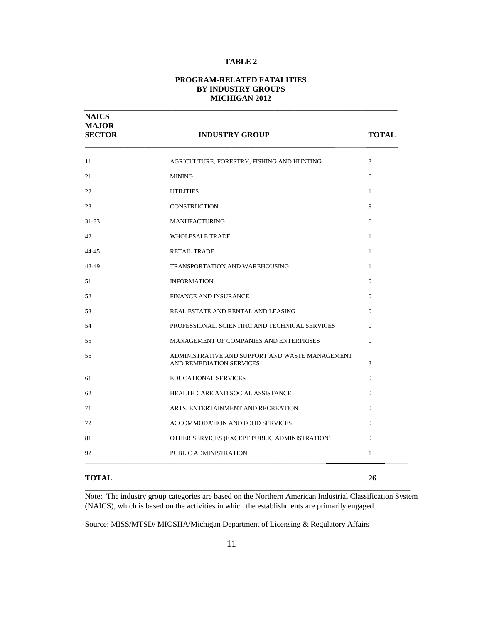#### **PROGRAM-RELATED FATALITIES BY INDUSTRY GROUPS MICHIGAN 2012**

**\_\_\_\_\_\_\_\_\_\_\_\_\_\_\_\_\_\_\_\_\_\_\_\_\_\_\_\_\_\_\_\_\_\_\_\_\_\_\_\_\_\_\_\_\_\_\_\_\_\_\_\_\_\_\_\_\_\_\_\_\_\_\_\_\_\_\_\_\_\_\_\_\_\_\_\_\_\_\_**

| <b>NAICS</b><br><b>MAJOR</b><br><b>SECTOR</b> | <b>INDUSTRY GROUP</b>                                                       | <b>TOTAL</b>   |
|-----------------------------------------------|-----------------------------------------------------------------------------|----------------|
| 11                                            | AGRICULTURE, FORESTRY, FISHING AND HUNTING                                  | 3              |
| 21                                            | <b>MINING</b>                                                               | $\overline{0}$ |
| 22                                            | <b>UTILITIES</b>                                                            | $\mathbf{1}$   |
| 23                                            | <b>CONSTRUCTION</b>                                                         | 9              |
| $31 - 33$                                     | <b>MANUFACTURING</b>                                                        | 6              |
| 42                                            | <b>WHOLESALE TRADE</b>                                                      | $\mathbf{1}$   |
| $44 - 45$                                     | <b>RETAIL TRADE</b>                                                         | $\mathbf{1}$   |
| 48-49                                         | TRANSPORTATION AND WAREHOUSING                                              | $\mathbf{1}$   |
| 51                                            | <b>INFORMATION</b>                                                          | $\Omega$       |
| 52                                            | <b>FINANCE AND INSURANCE</b>                                                | $\Omega$       |
| 53                                            | REAL ESTATE AND RENTAL AND LEASING                                          | $\Omega$       |
| 54                                            | PROFESSIONAL, SCIENTIFIC AND TECHNICAL SERVICES                             | $\Omega$       |
| 55                                            | MANAGEMENT OF COMPANIES AND ENTERPRISES                                     | $\Omega$       |
| 56                                            | ADMINISTRATIVE AND SUPPORT AND WASTE MANAGEMENT<br>AND REMEDIATION SERVICES | 3              |
| 61                                            | <b>EDUCATIONAL SERVICES</b>                                                 | $\Omega$       |
| 62                                            | HEALTH CARE AND SOCIAL ASSISTANCE                                           | $\Omega$       |
| 71                                            | ARTS, ENTERTAINMENT AND RECREATION                                          | $\overline{0}$ |
| 72                                            | <b>ACCOMMODATION AND FOOD SERVICES</b>                                      | $\Omega$       |
| 81                                            | OTHER SERVICES (EXCEPT PUBLIC ADMINISTRATION)                               | $\Omega$       |
| 92                                            | PUBLIC ADMINISTRATION                                                       | $\mathbf{1}$   |
| <b>TOTAL</b>                                  |                                                                             | 26             |

**\_\_\_\_\_\_\_\_\_\_\_\_\_\_\_\_\_\_\_\_\_\_\_\_\_\_\_\_\_\_\_\_\_\_\_\_\_\_\_\_\_\_\_\_\_\_\_\_\_\_\_\_\_\_\_\_\_\_\_\_\_\_\_\_\_\_\_\_\_\_\_\_\_\_\_\_\_\_\_\_\_\_**

Note:The industry group categories are based on the Northern American Industrial Classification System (NAICS), which is based on the activities in which the establishments are primarily engaged.

Source: MISS/MTSD/ MIOSHA/Michigan Department of Licensing & Regulatory Affairs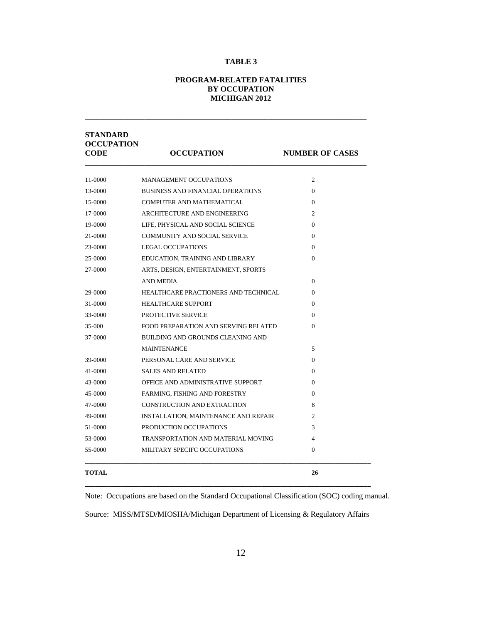#### **PROGRAM-RELATED FATALITIES BY OCCUPATION MICHIGAN 2012**

**\_\_\_\_\_\_\_\_\_\_\_\_\_\_\_\_\_\_\_\_\_\_\_\_\_\_\_\_\_\_\_\_\_\_\_\_\_\_\_\_\_\_\_\_\_\_\_\_\_\_\_\_\_\_\_\_\_\_\_\_\_\_\_\_\_\_\_\_\_\_\_**

| <b>STANDARD</b><br><b>OCCUPATION</b><br><b>CODE</b> | <b>OCCUPATION</b>                           | <b>NUMBER OF CASES</b> |
|-----------------------------------------------------|---------------------------------------------|------------------------|
| 11-0000                                             | <b>MANAGEMENT OCCUPATIONS</b>               | $\mathfrak{2}$         |
| 13-0000                                             | <b>BUSINESS AND FINANCIAL OPERATIONS</b>    | $\Omega$               |
| 15-0000                                             | COMPUTER AND MATHEMATICAL                   | $\mathbf{0}$           |
| 17-0000                                             | ARCHITECTURE AND ENGINEERING                | $\overline{2}$         |
| 19-0000                                             | LIFE, PHYSICAL AND SOCIAL SCIENCE           | $\Omega$               |
| 21-0000                                             | <b>COMMUNITY AND SOCIAL SERVICE</b>         | $\mathbf{0}$           |
| 23-0000                                             | LEGAL OCCUPATIONS                           | $\Omega$               |
| 25-0000                                             | EDUCATION, TRAINING AND LIBRARY             | $\Omega$               |
| 27-0000                                             | ARTS, DESIGN, ENTERTAINMENT, SPORTS         |                        |
|                                                     | <b>AND MEDIA</b>                            | $\Omega$               |
| 29-0000                                             | HEALTHCARE PRACTIONERS AND TECHNICAL        | $\Omega$               |
| 31-0000                                             | <b>HEALTHCARE SUPPORT</b>                   | $\Omega$               |
| 33-0000                                             | PROTECTIVE SERVICE                          | $\Omega$               |
| 35-000                                              | FOOD PREPARATION AND SERVING RELATED        | $\Omega$               |
| 37-0000                                             | BUILDING AND GROUNDS CLEANING AND           |                        |
|                                                     | <b>MAINTENANCE</b>                          | 5                      |
| 39-0000                                             | PERSONAL CARE AND SERVICE                   | $\mathbf{0}$           |
| 41-0000                                             | <b>SALES AND RELATED</b>                    | $\Omega$               |
| 43-0000                                             | OFFICE AND ADMINISTRATIVE SUPPORT           | $\Omega$               |
| 45-0000                                             | FARMING, FISHING AND FORESTRY               | $\mathbf{0}$           |
| 47-0000                                             | CONSTRUCTION AND EXTRACTION                 | 8                      |
| 49-0000                                             | <b>INSTALLATION, MAINTENANCE AND REPAIR</b> | 2                      |
| 51-0000                                             | PRODUCTION OCCUPATIONS                      | 3                      |
| 53-0000                                             | TRANSPORTATION AND MATERIAL MOVING          | 4                      |
| 55-0000                                             | MILITARY SPECIFC OCCUPATIONS                | $\Omega$               |
|                                                     |                                             |                        |
| <b>TOTAL</b>                                        |                                             | 26                     |

Note:Occupations are based on the Standard Occupational Classification (SOC) coding manual.

Source: MISS/MTSD/MIOSHA/Michigan Department of Licensing & Regulatory Affairs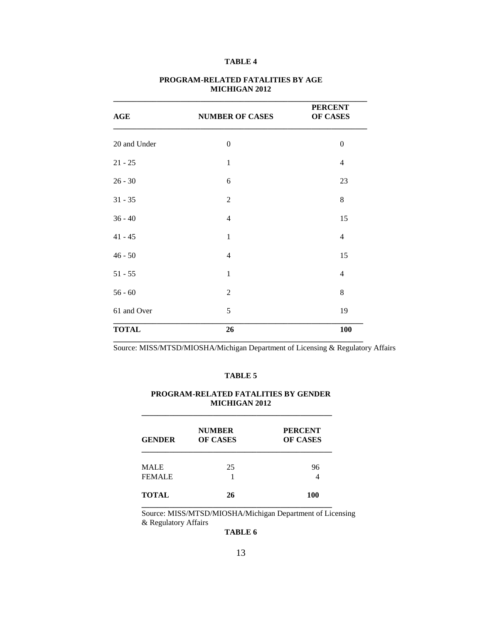| AGE          | <b>NUMBER OF CASES</b> | <b>PERCENT</b><br>OF CASES |
|--------------|------------------------|----------------------------|
| 20 and Under | $\overline{0}$         | $\mathbf{0}$               |
| $21 - 25$    | $\mathbf{1}$           | $\overline{4}$             |
| $26 - 30$    | 6                      | 23                         |
| $31 - 35$    | $\overline{2}$         | 8                          |
| $36 - 40$    | 4                      | 15                         |
| $41 - 45$    | 1                      | $\overline{4}$             |
| $46 - 50$    | 4                      | 15                         |
| $51 - 55$    | $\mathbf{1}$           | $\overline{4}$             |
| $56 - 60$    | $\overline{2}$         | 8                          |
| 61 and Over  | 5                      | 19                         |
| <b>TOTAL</b> | 26                     | <b>100</b>                 |

#### **PROGRAM-RELATED FATALITIES BY AGE MICHIGAN 2012**

Source: MISS/MTSD/MIOSHA/Michigan Department of Licensing & Regulatory Affairs

#### **TABLE 5**

#### **PROGRAM-RELATED FATALITIES BY GENDER MICHIGAN 2012**

**\_\_\_\_\_\_\_\_\_\_\_\_\_\_\_\_\_\_\_\_\_\_\_\_\_\_\_\_\_\_\_\_\_\_\_\_\_\_\_\_\_\_\_\_\_\_\_\_**

| <b>GENDER</b> | <b>NUMBER</b><br><b>OF CASES</b> | <b>PERCENT</b><br><b>OF CASES</b> |
|---------------|----------------------------------|-----------------------------------|
| <b>MALE</b>   | 25                               | 96                                |
| <b>FEMALE</b> |                                  |                                   |
| <b>TOTAL</b>  | 26                               | 100                               |

Source: MISS/MTSD/MIOSHA/Michigan Department of Licensing & Regulatory Affairs

#### **TABLE 6**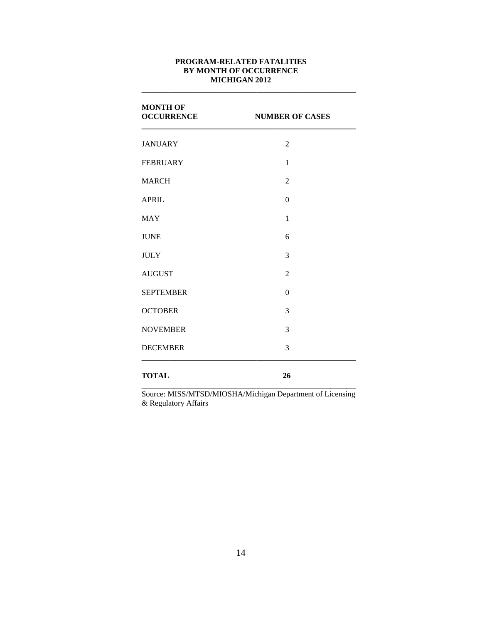#### **PROGRAM-RELATED FATALITIES BY MONTH OF OCCURRENCE MICHIGAN 2012**

**\_\_\_\_\_\_\_\_\_\_\_\_\_\_\_\_\_\_\_\_\_\_\_\_\_\_\_\_\_\_\_\_\_\_\_\_\_\_\_\_\_\_\_\_\_\_\_\_\_\_\_\_\_\_**

| <b>MONTH OF</b><br><b>OCCURRENCE</b> | <b>NUMBER OF CASES</b> |
|--------------------------------------|------------------------|
| <b>JANUARY</b>                       | $\overline{2}$         |
| <b>FEBRUARY</b>                      | $\mathbf{1}$           |
| <b>MARCH</b>                         | $\overline{2}$         |
| <b>APRIL</b>                         | $\theta$               |
| <b>MAY</b>                           | $\mathbf{1}$           |
| <b>JUNE</b>                          | 6                      |
| <b>JULY</b>                          | 3                      |
| <b>AUGUST</b>                        | $\overline{2}$         |
| <b>SEPTEMBER</b>                     | $\theta$               |
| <b>OCTOBER</b>                       | 3                      |
| <b>NOVEMBER</b>                      | 3                      |
| <b>DECEMBER</b>                      | 3                      |
| <b>TOTAL</b>                         | 26                     |

**\_\_\_\_\_\_\_\_\_\_\_\_\_\_\_\_\_\_\_\_\_\_\_\_\_\_\_\_\_\_\_\_\_\_\_\_\_\_\_\_\_\_\_\_\_\_\_\_\_\_\_\_\_\_** Source: MISS/MTSD/MIOSHA/Michigan Department of Licensing & Regulatory Affairs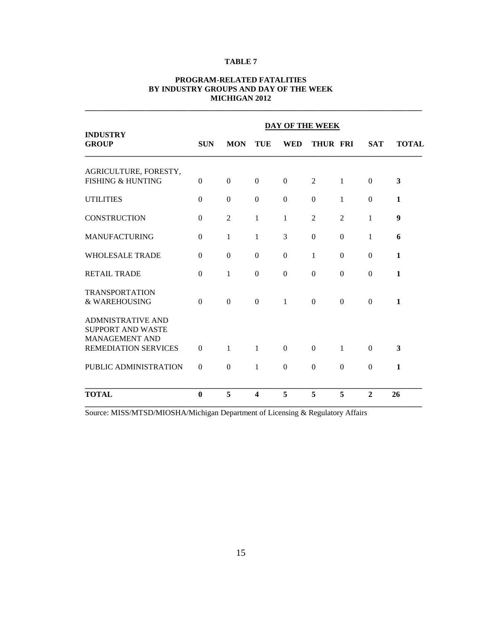|                                                       | <b>DAY OF THE WEEK</b> |              |                         |              |                  |                  |                |              |
|-------------------------------------------------------|------------------------|--------------|-------------------------|--------------|------------------|------------------|----------------|--------------|
| <b>INDUSTRY</b><br><b>GROUP</b>                       | <b>SUN</b>             | <b>MON</b>   | TUE                     | <b>WED</b>   | THUR FRI         |                  | <b>SAT</b>     | <b>TOTAL</b> |
| AGRICULTURE, FORESTY,<br><b>FISHING &amp; HUNTING</b> | $\Omega$               | $\Omega$     | $\Omega$                | $\Omega$     | 2                | $\mathbf{1}$     | $\Omega$       | 3            |
| <b>UTILITIES</b>                                      | $\Omega$               | $\Omega$     | $\Omega$                | $\Omega$     | $\overline{0}$   | 1                | $\Omega$       | 1            |
| <b>CONSTRUCTION</b>                                   | $\Omega$               | 2            | $\mathbf{1}$            | 1            | $\overline{2}$   | $\overline{2}$   | 1              | 9            |
| <b>MANUFACTURING</b>                                  | $\Omega$               | 1            | 1                       | 3            | $\boldsymbol{0}$ | $\boldsymbol{0}$ | 1              | 6            |
| <b>WHOLESALE TRADE</b>                                | $\Omega$               | $\Omega$     | $\Omega$                | $\Omega$     | 1                | $\Omega$         | $\Omega$       | 1            |
| <b>RETAIL TRADE</b>                                   | $\Omega$               | 1            | $\Omega$                | $\Omega$     | $\boldsymbol{0}$ | $\boldsymbol{0}$ | $\Omega$       | $\mathbf{1}$ |
| <b>TRANSPORTATION</b><br>& WAREHOUSING                | $\Omega$               | $\Omega$     | $\Omega$                | $\mathbf{1}$ | $\Omega$         | $\Omega$         | $\Omega$       | 1            |
| <b>ADMNISTRATIVE AND</b><br><b>SUPPORT AND WASTE</b>  |                        |              |                         |              |                  |                  |                |              |
| <b>MANAGEMENT AND</b><br><b>REMEDIATION SERVICES</b>  | $\Omega$               | $\mathbf{1}$ | $\mathbf{1}$            | $\Omega$     | $\Omega$         | 1                | $\Omega$       | 3            |
| PUBLIC ADMINISTRATION                                 | $\Omega$               | $\Omega$     | $\mathbf{1}$            | $\Omega$     | $\overline{0}$   | $\Omega$         | $\Omega$       | 1            |
| <b>TOTAL</b>                                          | $\bf{0}$               | 5            | $\overline{\mathbf{4}}$ | 5            | 5                | 5                | $\overline{2}$ | 26           |

#### **PROGRAM-RELATED FATALITIES BY INDUSTRY GROUPS AND DAY OF THE WEEK MICHIGAN 2012**

**\_\_\_\_\_\_\_\_\_\_\_\_\_\_\_\_\_\_\_\_\_\_\_\_\_\_\_\_\_\_\_\_\_\_\_\_\_\_\_\_\_\_\_\_\_\_\_\_\_\_\_\_\_\_\_\_\_\_\_\_\_\_\_\_\_\_\_\_\_\_\_\_\_\_\_\_\_\_\_\_\_\_\_\_\_**

Source: MISS/MTSD/MIOSHA/Michigan Department of Licensing & Regulatory Affairs

**\_\_\_\_\_\_\_\_\_\_\_\_\_\_\_\_\_\_\_\_\_\_\_\_\_\_\_\_\_\_\_\_\_\_\_\_\_\_\_\_\_\_\_\_\_\_\_\_\_\_\_\_\_\_\_\_\_\_\_\_\_\_\_\_\_\_\_\_\_\_\_\_\_\_\_\_\_\_\_\_\_\_\_\_\_**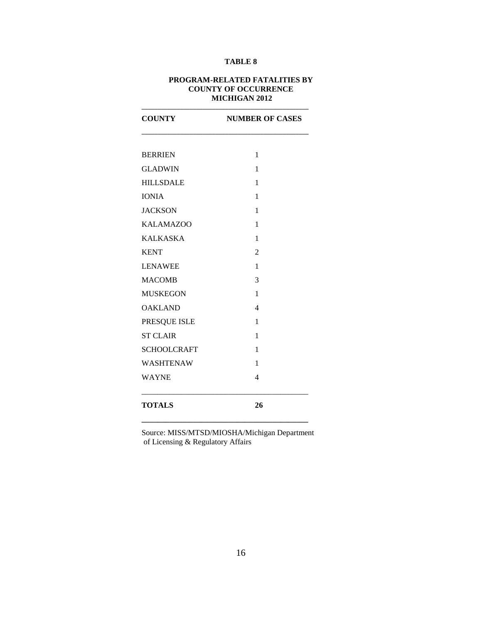#### **PROGRAM-RELATED FATALITIES BY COUNTY OF OCCURRENCE MICHIGAN 2012**

**\_\_\_\_\_\_\_\_\_\_\_\_\_\_\_\_\_\_\_\_\_\_\_\_\_\_\_\_\_\_\_\_\_\_\_\_\_\_\_\_\_\_\_\_\_\_\_\_\_\_\_\_**

| <b>COUNTY</b>      | <b>NUMBER OF CASES</b> |  |  |
|--------------------|------------------------|--|--|
|                    |                        |  |  |
| <b>BERRIEN</b>     | 1                      |  |  |
| <b>GLADWIN</b>     | 1                      |  |  |
| <b>HILLSDALE</b>   | 1                      |  |  |
| <b>IONIA</b>       | 1                      |  |  |
| <b>JACKSON</b>     | 1                      |  |  |
| <b>KALAMAZOO</b>   | 1                      |  |  |
| <b>KALKASKA</b>    | 1                      |  |  |
| <b>KENT</b>        | $\overline{2}$         |  |  |
| <b>LENAWEE</b>     | 1                      |  |  |
| <b>MACOMB</b>      | 3                      |  |  |
| <b>MUSKEGON</b>    | 1                      |  |  |
| <b>OAKLAND</b>     | $\overline{4}$         |  |  |
| PRESQUE ISLE       | 1                      |  |  |
| <b>ST CLAIR</b>    | 1                      |  |  |
| <b>SCHOOLCRAFT</b> | 1                      |  |  |
| <b>WASHTENAW</b>   | 1                      |  |  |
| <b>WAYNE</b>       | 4                      |  |  |
| <b>TOTALS</b>      | 26                     |  |  |

Source: MISS/MTSD/MIOSHA/Michigan Department of Licensing & Regulatory Affairs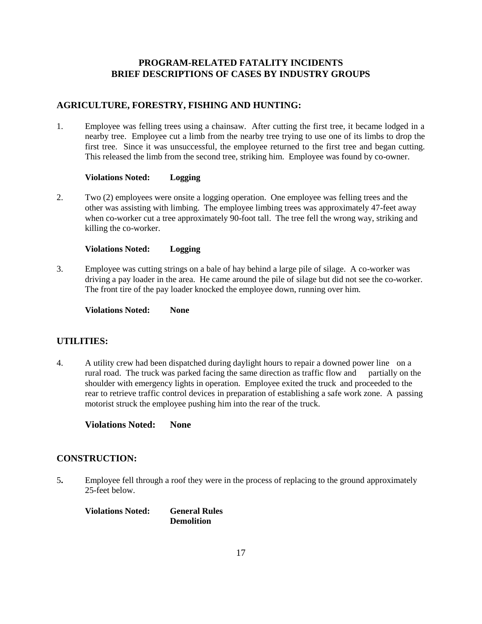# **PROGRAM-RELATED FATALITY INCIDENTS BRIEF DESCRIPTIONS OF CASES BY INDUSTRY GROUPS**

# **AGRICULTURE, FORESTRY, FISHING AND HUNTING:**

1. Employee was felling trees using a chainsaw. After cutting the first tree, it became lodged in a nearby tree. Employee cut a limb from the nearby tree trying to use one of its limbs to drop the first tree. Since it was unsuccessful, the employee returned to the first tree and began cutting. This released the limb from the second tree, striking him. Employee was found by co-owner.

#### **Violations Noted: Logging**

2. Two (2) employees were onsite a logging operation. One employee was felling trees and the other was assisting with limbing. The employee limbing trees was approximately 47-feet away when co-worker cut a tree approximately 90-foot tall. The tree fell the wrong way, striking and killing the co-worker.

#### **Violations Noted: Logging**

3. Employee was cutting strings on a bale of hay behind a large pile of silage. A co-worker was driving a pay loader in the area. He came around the pile of silage but did not see the co-worker. The front tire of the pay loader knocked the employee down, running over him.

**Violations Noted: None**

# **UTILITIES:**

4. A utility crew had been dispatched during daylight hours to repair a downed power line on a rural road. The truck was parked facing the same direction as traffic flow and partially on the shoulder with emergency lights in operation. Employee exited the truck and proceeded to the rear to retrieve traffic control devices in preparation of establishing a safe work zone. A passing motorist struck the employee pushing him into the rear of the truck.

**Violations Noted: None**

#### **CONSTRUCTION:**

5**.** Employee fell through a roof they were in the process of replacing to the ground approximately 25-feet below.

**Violations Noted: General Rules Demolition**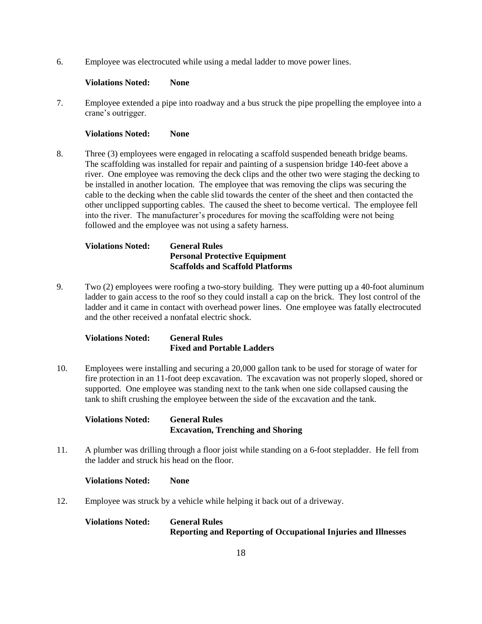6. Employee was electrocuted while using a medal ladder to move power lines.

#### **Violations Noted: None**

7. Employee extended a pipe into roadway and a bus struck the pipe propelling the employee into a crane's outrigger.

#### **Violations Noted: None**

8. Three (3) employees were engaged in relocating a scaffold suspended beneath bridge beams. The scaffolding was installed for repair and painting of a suspension bridge 140-feet above a river. One employee was removing the deck clips and the other two were staging the decking to be installed in another location. The employee that was removing the clips was securing the cable to the decking when the cable slid towards the center of the sheet and then contacted the other unclipped supporting cables. The caused the sheet to become vertical. The employee fell into the river. The manufacturer's procedures for moving the scaffolding were not being followed and the employee was not using a safety harness.

# **Violations Noted: General Rules Personal Protective Equipment Scaffolds and Scaffold Platforms**

9. Two (2) employees were roofing a two-story building. They were putting up a 40-foot aluminum ladder to gain access to the roof so they could install a cap on the brick. They lost control of the ladder and it came in contact with overhead power lines. One employee was fatally electrocuted and the other received a nonfatal electric shock.

| <b>Violations Noted:</b> | <b>General Rules</b>              |
|--------------------------|-----------------------------------|
|                          | <b>Fixed and Portable Ladders</b> |

10. Employees were installing and securing a 20,000 gallon tank to be used for storage of water for fire protection in an 11-foot deep excavation. The excavation was not properly sloped, shored or supported. One employee was standing next to the tank when one side collapsed causing the tank to shift crushing the employee between the side of the excavation and the tank.

| <b>Violations Noted:</b> | <b>General Rules</b>                     |
|--------------------------|------------------------------------------|
|                          | <b>Excavation, Trenching and Shoring</b> |

11. A plumber was drilling through a floor joist while standing on a 6-foot stepladder. He fell from the ladder and struck his head on the floor.

#### **Violations Noted: None**

12. Employee was struck by a vehicle while helping it back out of a driveway.

#### **Violations Noted: General Rules Reporting and Reporting of Occupational Injuries and Illnesses**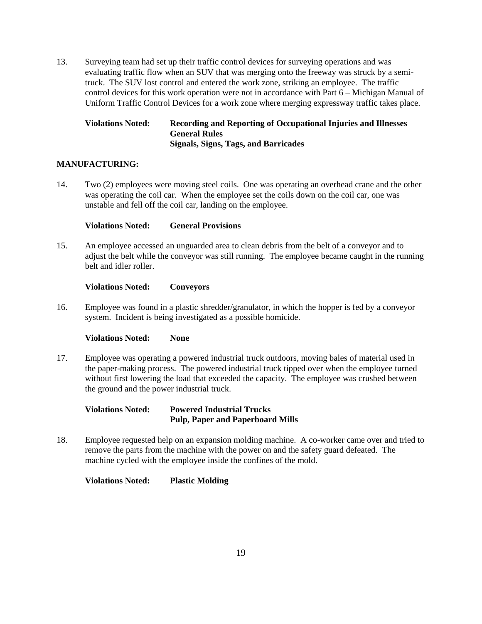13. Surveying team had set up their traffic control devices for surveying operations and was evaluating traffic flow when an SUV that was merging onto the freeway was struck by a semitruck. The SUV lost control and entered the work zone, striking an employee. The traffic control devices for this work operation were not in accordance with Part 6 – Michigan Manual of Uniform Traffic Control Devices for a work zone where merging expressway traffic takes place.

### **Violations Noted: Recording and Reporting of Occupational Injuries and Illnesses General Rules Signals, Signs, Tags, and Barricades**

#### **MANUFACTURING:**

14. Two (2) employees were moving steel coils. One was operating an overhead crane and the other was operating the coil car. When the employee set the coils down on the coil car, one was unstable and fell off the coil car, landing on the employee.

#### **Violations Noted: General Provisions**

15. An employee accessed an unguarded area to clean debris from the belt of a conveyor and to adjust the belt while the conveyor was still running. The employee became caught in the running belt and idler roller.

#### **Violations Noted: Conveyors**

16. Employee was found in a plastic shredder/granulator, in which the hopper is fed by a conveyor system. Incident is being investigated as a possible homicide.

#### **Violations Noted: None**

17. Employee was operating a powered industrial truck outdoors, moving bales of material used in the paper-making process. The powered industrial truck tipped over when the employee turned without first lowering the load that exceeded the capacity. The employee was crushed between the ground and the power industrial truck.

#### **Violations Noted: Powered Industrial Trucks Pulp, Paper and Paperboard Mills**

18. Employee requested help on an expansion molding machine. A co-worker came over and tried to remove the parts from the machine with the power on and the safety guard defeated. The machine cycled with the employee inside the confines of the mold.

**Violations Noted: Plastic Molding**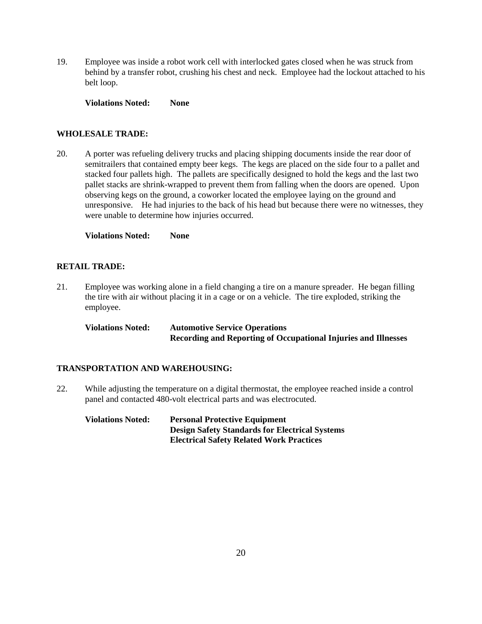19. Employee was inside a robot work cell with interlocked gates closed when he was struck from behind by a transfer robot, crushing his chest and neck. Employee had the lockout attached to his belt loop.

**Violations Noted: None**

#### **WHOLESALE TRADE:**

20. A porter was refueling delivery trucks and placing shipping documents inside the rear door of semitrailers that contained empty beer kegs. The kegs are placed on the side four to a pallet and stacked four pallets high. The pallets are specifically designed to hold the kegs and the last two pallet stacks are shrink-wrapped to prevent them from falling when the doors are opened. Upon observing kegs on the ground, a coworker located the employee laying on the ground and unresponsive. He had injuries to the back of his head but because there were no witnesses, they were unable to determine how injuries occurred.

**Violations Noted: None**

#### **RETAIL TRADE:**

21. Employee was working alone in a field changing a tire on a manure spreader. He began filling the tire with air without placing it in a cage or on a vehicle. The tire exploded, striking the employee.

**Violations Noted: Automotive Service Operations Recording and Reporting of Occupational Injuries and Illnesses**

#### **TRANSPORTATION AND WAREHOUSING:**

22. While adjusting the temperature on a digital thermostat, the employee reached inside a control panel and contacted 480-volt electrical parts and was electrocuted.

# **Violations Noted: Personal Protective Equipment Design Safety Standards for Electrical Systems Electrical Safety Related Work Practices**